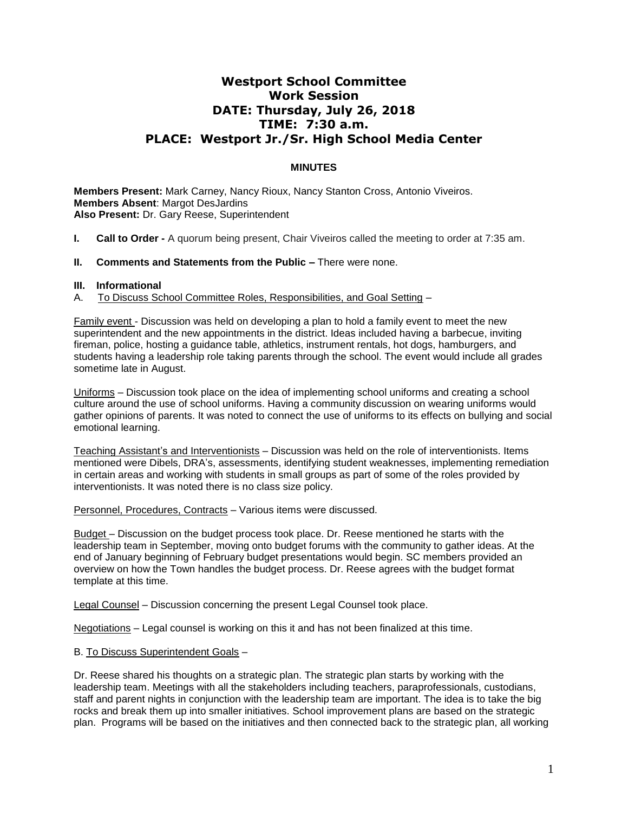## **Westport School Committee Work Session DATE: Thursday, July 26, 2018 TIME: 7:30 a.m. PLACE: Westport Jr./Sr. High School Media Center**

## **MINUTES**

**Members Present:** Mark Carney, Nancy Rioux, Nancy Stanton Cross, Antonio Viveiros. **Members Absent**: Margot DesJardins **Also Present:** Dr. Gary Reese, Superintendent

- **I. Call to Order -** A quorum being present, Chair Viveiros called the meeting to order at 7:35 am.
- **II. Comments and Statements from the Public –** There were none.

## **III. Informational**

A. To Discuss School Committee Roles, Responsibilities, and Goal Setting –

Family event - Discussion was held on developing a plan to hold a family event to meet the new superintendent and the new appointments in the district. Ideas included having a barbecue, inviting fireman, police, hosting a guidance table, athletics, instrument rentals, hot dogs, hamburgers, and students having a leadership role taking parents through the school. The event would include all grades sometime late in August.

Uniforms – Discussion took place on the idea of implementing school uniforms and creating a school culture around the use of school uniforms. Having a community discussion on wearing uniforms would gather opinions of parents. It was noted to connect the use of uniforms to its effects on bullying and social emotional learning.

Teaching Assistant's and Interventionists – Discussion was held on the role of interventionists. Items mentioned were Dibels, DRA's, assessments, identifying student weaknesses, implementing remediation in certain areas and working with students in small groups as part of some of the roles provided by interventionists. It was noted there is no class size policy.

Personnel, Procedures, Contracts – Various items were discussed.

Budget – Discussion on the budget process took place. Dr. Reese mentioned he starts with the leadership team in September, moving onto budget forums with the community to gather ideas. At the end of January beginning of February budget presentations would begin. SC members provided an overview on how the Town handles the budget process. Dr. Reese agrees with the budget format template at this time.

Legal Counsel – Discussion concerning the present Legal Counsel took place.

Negotiations – Legal counsel is working on this it and has not been finalized at this time.

B. To Discuss Superintendent Goals –

Dr. Reese shared his thoughts on a strategic plan. The strategic plan starts by working with the leadership team. Meetings with all the stakeholders including teachers, paraprofessionals, custodians, staff and parent nights in conjunction with the leadership team are important. The idea is to take the big rocks and break them up into smaller initiatives. School improvement plans are based on the strategic plan. Programs will be based on the initiatives and then connected back to the strategic plan, all working